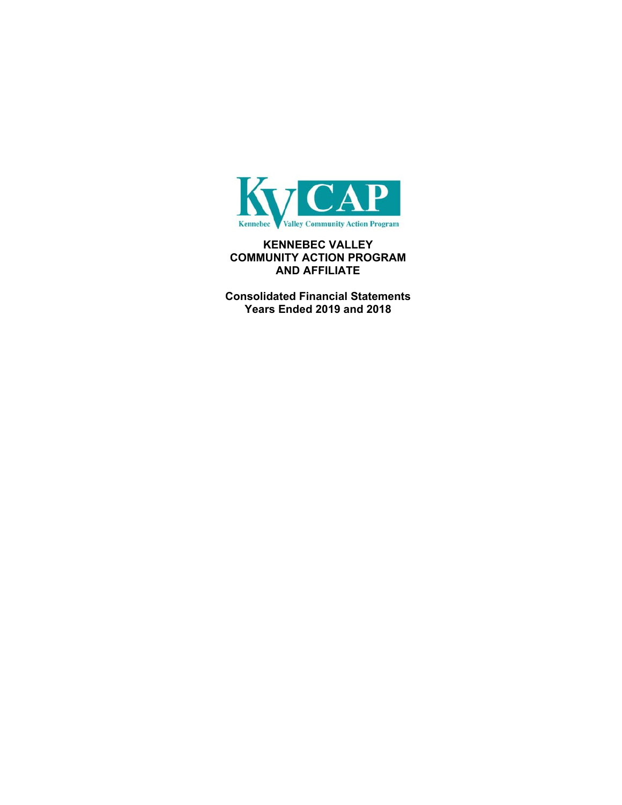

**KENNEBEC VALLEY COMMUNITY ACTION PROGRAM AND AFFILIATE** 

**Consolidated Financial Statements Years Ended 2019 and 2018**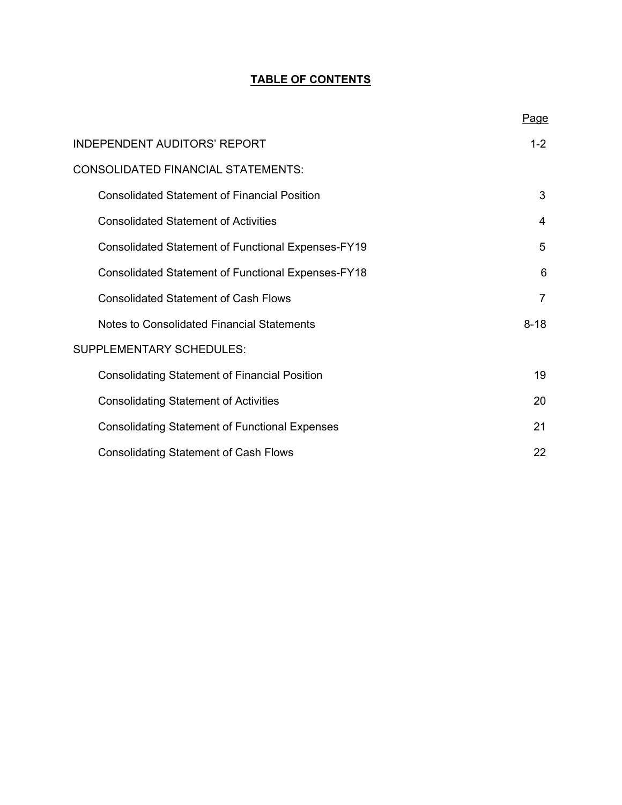# **TABLE OF CONTENTS**

|                                                           | Page           |
|-----------------------------------------------------------|----------------|
| INDEPENDENT AUDITORS' REPORT                              | $1 - 2$        |
| <b>CONSOLIDATED FINANCIAL STATEMENTS:</b>                 |                |
| <b>Consolidated Statement of Financial Position</b>       | 3              |
| <b>Consolidated Statement of Activities</b>               | 4              |
| <b>Consolidated Statement of Functional Expenses-FY19</b> | 5              |
| <b>Consolidated Statement of Functional Expenses-FY18</b> | 6              |
| <b>Consolidated Statement of Cash Flows</b>               | $\overline{7}$ |
| Notes to Consolidated Financial Statements                | $8 - 18$       |
| <b>SUPPLEMENTARY SCHEDULES:</b>                           |                |
| <b>Consolidating Statement of Financial Position</b>      | 19             |
| <b>Consolidating Statement of Activities</b>              | 20             |
| <b>Consolidating Statement of Functional Expenses</b>     | 21             |
| <b>Consolidating Statement of Cash Flows</b>              | 22             |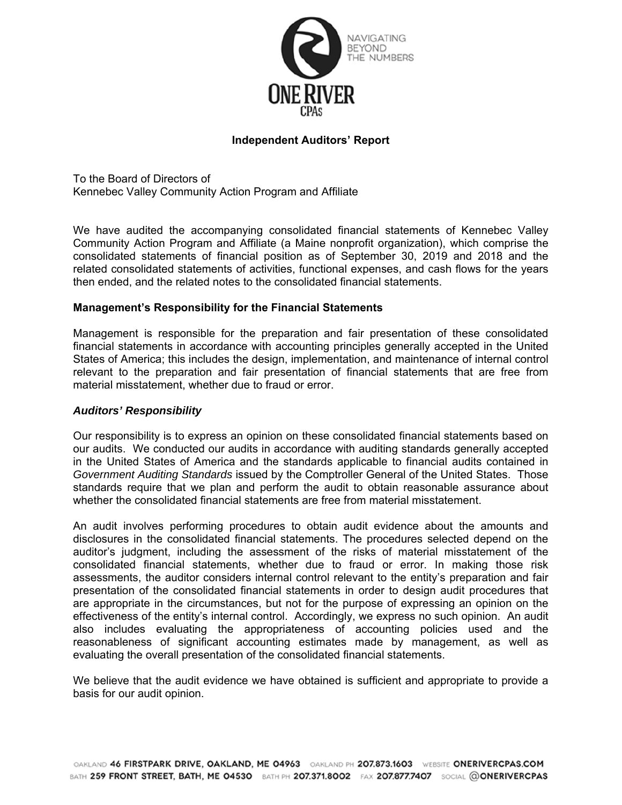

### **Independent Auditors' Report**

To the Board of Directors of Kennebec Valley Community Action Program and Affiliate

We have audited the accompanying consolidated financial statements of Kennebec Valley Community Action Program and Affiliate (a Maine nonprofit organization), which comprise the consolidated statements of financial position as of September 30, 2019 and 2018 and the related consolidated statements of activities, functional expenses, and cash flows for the years then ended, and the related notes to the consolidated financial statements.

#### **Management's Responsibility for the Financial Statements**

Management is responsible for the preparation and fair presentation of these consolidated financial statements in accordance with accounting principles generally accepted in the United States of America; this includes the design, implementation, and maintenance of internal control relevant to the preparation and fair presentation of financial statements that are free from material misstatement, whether due to fraud or error.

#### *Auditors' Responsibility*

Our responsibility is to express an opinion on these consolidated financial statements based on our audits. We conducted our audits in accordance with auditing standards generally accepted in the United States of America and the standards applicable to financial audits contained in *Government Auditing Standards* issued by the Comptroller General of the United States. Those standards require that we plan and perform the audit to obtain reasonable assurance about whether the consolidated financial statements are free from material misstatement.

An audit involves performing procedures to obtain audit evidence about the amounts and disclosures in the consolidated financial statements. The procedures selected depend on the auditor's judgment, including the assessment of the risks of material misstatement of the consolidated financial statements, whether due to fraud or error. In making those risk assessments, the auditor considers internal control relevant to the entity's preparation and fair presentation of the consolidated financial statements in order to design audit procedures that are appropriate in the circumstances, but not for the purpose of expressing an opinion on the effectiveness of the entity's internal control. Accordingly, we express no such opinion. An audit also includes evaluating the appropriateness of accounting policies used and the reasonableness of significant accounting estimates made by management, as well as evaluating the overall presentation of the consolidated financial statements.

We believe that the audit evidence we have obtained is sufficient and appropriate to provide a basis for our audit opinion.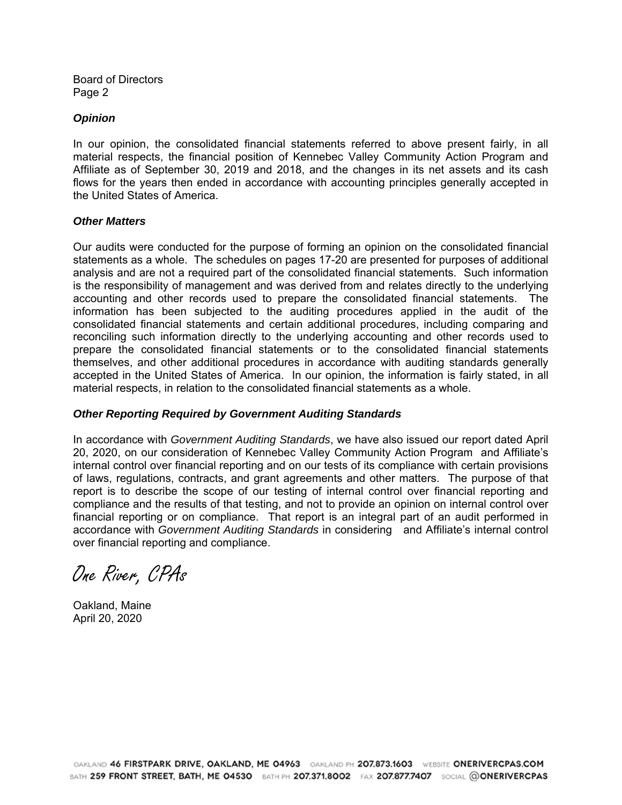Board of Directors Page 2

#### *Opinion*

In our opinion, the consolidated financial statements referred to above present fairly, in all material respects, the financial position of Kennebec Valley Community Action Program and Affiliate as of September 30, 2019 and 2018, and the changes in its net assets and its cash flows for the years then ended in accordance with accounting principles generally accepted in the United States of America.

#### *Other Matters*

Our audits were conducted for the purpose of forming an opinion on the consolidated financial statements as a whole. The schedules on pages 17-20 are presented for purposes of additional analysis and are not a required part of the consolidated financial statements. Such information is the responsibility of management and was derived from and relates directly to the underlying accounting and other records used to prepare the consolidated financial statements. The information has been subjected to the auditing procedures applied in the audit of the consolidated financial statements and certain additional procedures, including comparing and reconciling such information directly to the underlying accounting and other records used to prepare the consolidated financial statements or to the consolidated financial statements themselves, and other additional procedures in accordance with auditing standards generally accepted in the United States of America. In our opinion, the information is fairly stated, in all material respects, in relation to the consolidated financial statements as a whole.

### *Other Reporting Required by Government Auditing Standards*

In accordance with *Government Auditing Standards*, we have also issued our report dated April 20, 2020, on our consideration of Kennebec Valley Community Action Program and Affiliate's internal control over financial reporting and on our tests of its compliance with certain provisions of laws, regulations, contracts, and grant agreements and other matters. The purpose of that report is to describe the scope of our testing of internal control over financial reporting and compliance and the results of that testing, and not to provide an opinion on internal control over financial reporting or on compliance. That report is an integral part of an audit performed in accordance with *Government Auditing Standards* in considering and Affiliate's internal control over financial reporting and compliance.

One River, CPAs

Oakland, Maine April 20, 2020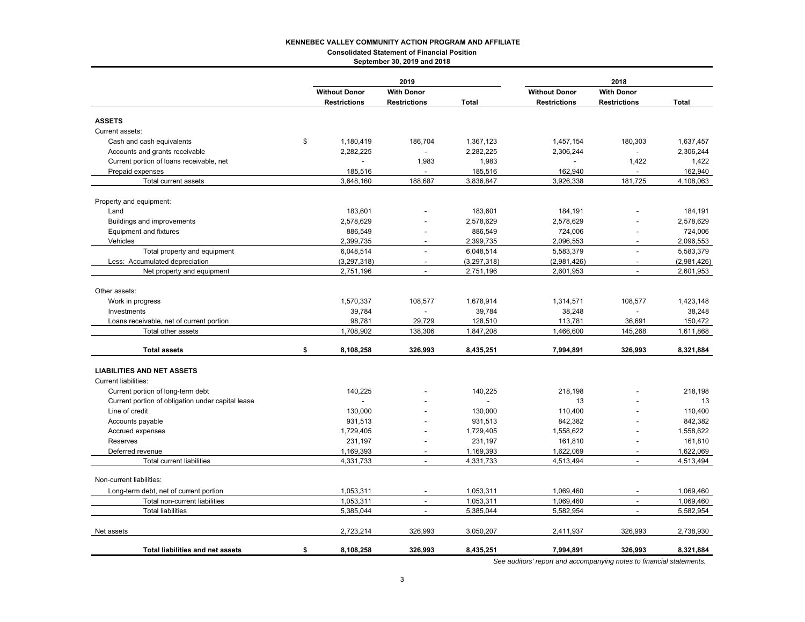#### **KENNEBEC VALLEY COMMUNITY ACTION PROGRAM AND AFFILIATE Consolidated Statement of Financial Position September 30, 2019 and 2018**

|                                                   | 2019                 |                             |               |                      |                          |              |
|---------------------------------------------------|----------------------|-----------------------------|---------------|----------------------|--------------------------|--------------|
|                                                   | <b>Without Donor</b> | <b>With Donor</b>           |               | <b>Without Donor</b> | <b>With Donor</b>        |              |
|                                                   | <b>Restrictions</b>  | <b>Restrictions</b>         | <b>Total</b>  | <b>Restrictions</b>  | <b>Restrictions</b>      | <b>Total</b> |
|                                                   |                      |                             |               |                      |                          |              |
| <b>ASSETS</b>                                     |                      |                             |               |                      |                          |              |
| Current assets:                                   |                      |                             |               |                      |                          |              |
| Cash and cash equivalents                         | \$<br>1,180,419      | 186,704                     | 1,367,123     | 1,457,154            | 180,303                  | 1,637,457    |
| Accounts and grants receivable                    | 2,282,225            | $\blacksquare$              | 2,282,225     | 2,306,244            | $\blacksquare$           | 2,306,244    |
| Current portion of loans receivable, net          |                      | 1,983                       | 1,983         |                      | 1,422                    | 1,422        |
| Prepaid expenses                                  | 185,516              |                             | 185,516       | 162,940              |                          | 162,940      |
| Total current assets                              | 3,648,160            | 188,687                     | 3,836,847     | 3,926,338            | 181,725                  | 4,108,063    |
| Property and equipment:                           |                      |                             |               |                      |                          |              |
| Land                                              | 183.601              |                             | 183.601       | 184,191              |                          | 184.191      |
| Buildings and improvements                        | 2,578,629            |                             | 2,578,629     | 2,578,629            |                          | 2,578,629    |
| <b>Equipment and fixtures</b>                     | 886,549              |                             | 886,549       | 724,006              |                          | 724,006      |
| Vehicles                                          | 2,399,735            |                             | 2,399,735     | 2,096,553            |                          | 2,096,553    |
|                                                   | 6,048,514            |                             |               |                      |                          | 5,583,379    |
| Total property and equipment                      |                      |                             | 6,048,514     | 5,583,379            |                          |              |
| Less: Accumulated depreciation                    | (3, 297, 318)        |                             | (3, 297, 318) | (2,981,426)          |                          | (2,981,426)  |
| Net property and equipment                        | 2,751,196            |                             | 2,751,196     | 2,601,953            |                          | 2,601,953    |
| Other assets:                                     |                      |                             |               |                      |                          |              |
| Work in progress                                  | 1,570,337            | 108,577                     | 1,678,914     | 1,314,571            | 108,577                  | 1,423,148    |
| Investments                                       | 39,784               |                             | 39,784        | 38,248               |                          | 38,248       |
| Loans receivable, net of current portion          | 98,781               | 29,729                      | 128,510       | 113,781              | 36,691                   | 150,472      |
| Total other assets                                | 1,708,902            | 138,306                     | 1,847,208     | 1,466,600            | 145,268                  | 1,611,868    |
|                                                   |                      |                             |               |                      |                          |              |
| <b>Total assets</b>                               | \$<br>8,108,258      | 326,993                     | 8,435,251     | 7,994,891            | 326,993                  | 8,321,884    |
| <b>LIABILITIES AND NET ASSETS</b>                 |                      |                             |               |                      |                          |              |
| Current liabilities:                              |                      |                             |               |                      |                          |              |
| Current portion of long-term debt                 | 140,225              |                             | 140,225       | 218.198              |                          | 218.198      |
| Current portion of obligation under capital lease |                      |                             |               | 13                   |                          | 13           |
| Line of credit                                    | 130,000              |                             | 130,000       | 110,400              |                          | 110,400      |
| Accounts payable                                  | 931,513              |                             | 931,513       | 842,382              |                          | 842,382      |
| Accrued expenses                                  | 1,729,405            |                             | 1,729,405     | 1,558,622            |                          | 1,558,622    |
| Reserves                                          | 231,197              |                             | 231,197       | 161,810              |                          | 161,810      |
| Deferred revenue                                  | 1,169,393            |                             | 1,169,393     | 1,622,069            |                          | 1,622,069    |
| <b>Total current liabilities</b>                  | 4,331,733            | $\overline{a}$              | 4,331,733     | 4,513,494            | $\blacksquare$           | 4,513,494    |
|                                                   |                      |                             |               |                      |                          |              |
| Non-current liabilities:                          |                      |                             |               |                      |                          |              |
| Long-term debt, net of current portion            | 1,053,311            |                             | 1,053,311     | 1,069,460            |                          | 1,069,460    |
| Total non-current liabilities                     | 1,053,311            | $\mathcal{L}_{\mathcal{A}}$ | 1,053,311     | 1,069,460            | $\mathbf{r}$             | 1,069,460    |
| <b>Total liabilities</b>                          | 5,385,044            | $\overline{a}$              | 5,385,044     | 5,582,954            | $\overline{\phantom{a}}$ | 5,582,954    |
| Net assets                                        | 2,723,214            | 326,993                     | 3,050,207     | 2,411,937            | 326,993                  | 2,738,930    |
| <b>Total liabilities and net assets</b>           | \$<br>8.108.258      | 326.993                     | 8.435.251     | 7.994.891            | 326.993                  | 8.321.884    |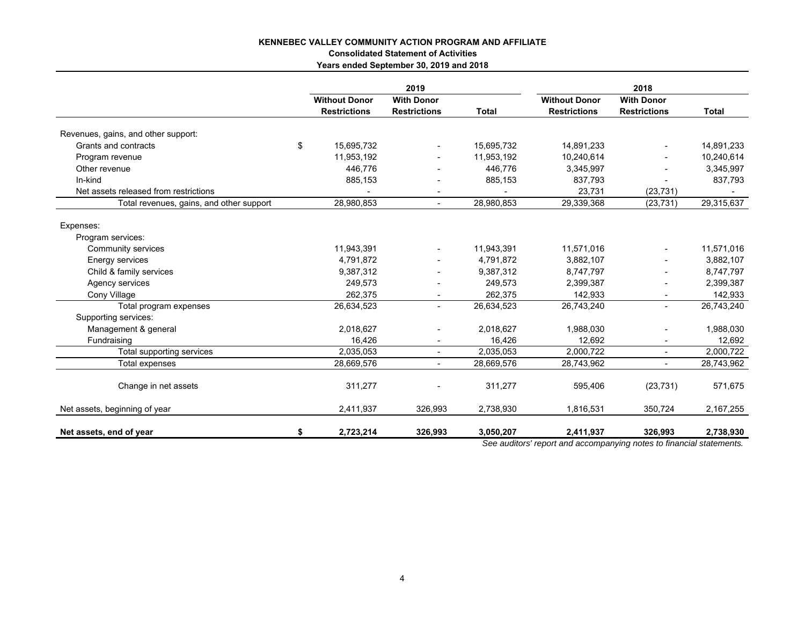#### **Years ended September 30, 2019 and 2018 Consolidated Statement of Activities KENNEBEC VALLEY COMMUNITY ACTION PROGRAM AND AFFILIATE**

|                                          | 2019                 |                          |              |                      |                          |              |
|------------------------------------------|----------------------|--------------------------|--------------|----------------------|--------------------------|--------------|
|                                          | <b>Without Donor</b> | <b>With Donor</b>        |              | <b>Without Donor</b> | <b>With Donor</b>        |              |
|                                          | <b>Restrictions</b>  | <b>Restrictions</b>      | <b>Total</b> | <b>Restrictions</b>  | <b>Restrictions</b>      | <b>Total</b> |
| Revenues, gains, and other support:      |                      |                          |              |                      |                          |              |
| Grants and contracts                     | \$<br>15,695,732     | $\overline{\phantom{a}}$ | 15,695,732   | 14,891,233           |                          | 14,891,233   |
| Program revenue                          | 11,953,192           |                          | 11,953,192   | 10,240,614           |                          | 10,240,614   |
| Other revenue                            | 446,776              |                          | 446,776      | 3,345,997            |                          | 3,345,997    |
| In-kind                                  | 885,153              |                          | 885,153      | 837,793              |                          | 837,793      |
| Net assets released from restrictions    |                      |                          |              | 23.731               | (23, 731)                |              |
| Total revenues, gains, and other support | 28,980,853           | L.                       | 28,980,853   | 29,339,368           | (23, 731)                | 29,315,637   |
|                                          |                      |                          |              |                      |                          |              |
| Expenses:                                |                      |                          |              |                      |                          |              |
| Program services:                        |                      |                          |              |                      |                          |              |
| Community services                       | 11,943,391           |                          | 11,943,391   | 11,571,016           |                          | 11,571,016   |
| Energy services                          | 4.791.872            |                          | 4,791,872    | 3,882,107            |                          | 3,882,107    |
| Child & family services                  | 9,387,312            |                          | 9,387,312    | 8,747,797            |                          | 8,747,797    |
| Agency services                          | 249.573              |                          | 249.573      | 2,399,387            |                          | 2,399,387    |
| Cony Village                             | 262,375              |                          | 262,375      | 142,933              |                          | 142,933      |
| Total program expenses                   | 26,634,523           | ä,                       | 26,634,523   | 26.743.240           |                          | 26,743,240   |
| Supporting services:                     |                      |                          |              |                      |                          |              |
| Management & general                     | 2,018,627            |                          | 2,018,627    | 1,988,030            |                          | 1,988,030    |
| Fundraising                              | 16,426               |                          | 16,426       | 12,692               | $\overline{\phantom{a}}$ | 12,692       |
| Total supporting services                | 2,035,053            | ä,                       | 2,035,053    | 2,000,722            | $\overline{\phantom{0}}$ | 2,000,722    |
| Total expenses                           | 28,669,576           | $\sim$                   | 28,669,576   | 28,743,962           | $\overline{\phantom{a}}$ | 28,743,962   |
|                                          | 311,277              |                          | 311,277      |                      |                          | 571,675      |
| Change in net assets                     |                      |                          |              | 595,406              | (23, 731)                |              |
| Net assets, beginning of year            | 2,411,937            | 326,993                  | 2,738,930    | 1,816,531            | 350,724                  | 2,167,255    |
| Net assets, end of year                  | \$<br>2,723,214      | 326.993                  | 3,050,207    | 2,411,937            | 326,993                  | 2,738,930    |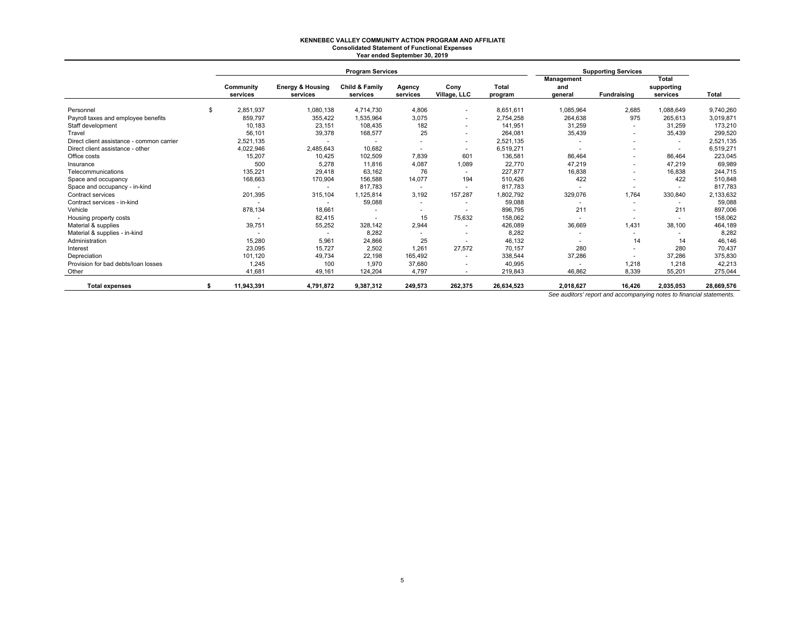#### **Consolidated Statement of Functional Expenses Year ended September 30, 2019 KENNEBEC VALLEY COMMUNITY ACTION PROGRAM AND AFFILIATE**

|                                           | <b>Program Services</b> |                                         |                                       |                    |                          |                         | <b>Supporting Services</b>   |                          |                                        |              |
|-------------------------------------------|-------------------------|-----------------------------------------|---------------------------------------|--------------------|--------------------------|-------------------------|------------------------------|--------------------------|----------------------------------------|--------------|
|                                           | Community<br>services   | <b>Energy &amp; Housing</b><br>services | <b>Child &amp; Family</b><br>services | Agency<br>services | Cony<br>Village, LLC     | <b>Total</b><br>program | Management<br>and<br>general | <b>Fundraising</b>       | <b>Total</b><br>supporting<br>services | <b>Total</b> |
|                                           |                         |                                         |                                       |                    |                          |                         |                              |                          |                                        |              |
| Personnel                                 | \$<br>2,851,937         | 1,080,138                               | 4.714.730                             | 4.806              | $\sim$                   | 8,651,611               | 1,085,964                    | 2,685                    | 1.088.649                              | 9,740,260    |
| Payroll taxes and employee benefits       | 859.797                 | 355,422                                 | 1,535,964                             | 3.075              | $\sim$                   | 2,754,258               | 264,638                      | 975                      | 265,613                                | 3,019,871    |
| Staff development                         | 10,183                  | 23,151                                  | 108,435                               | 182                | $\overline{\phantom{a}}$ | 141,951                 | 31,259                       |                          | 31,259                                 | 173,210      |
| Travel                                    | 56,101                  | 39,378                                  | 168,577                               | 25                 | $\overline{a}$           | 264,081                 | 35,439                       |                          | 35.439                                 | 299,520      |
| Direct client assistance - common carrier | 2.521.135               |                                         |                                       | $\sim$             | $\sim$                   | 2,521,135               |                              | $\overline{\phantom{a}}$ |                                        | 2,521,135    |
| Direct client assistance - other          | 4,022,946               | 2,485,643                               | 10.682                                |                    | $\overline{a}$           | 6,519,271               |                              |                          |                                        | 6,519,271    |
| Office costs                              | 15,207                  | 10.425                                  | 102.509                               | 7.839              | 601                      | 136,581                 | 86.464                       |                          | 86.464                                 | 223,045      |
| Insurance                                 | 500                     | 5,278                                   | 11.816                                | 4.087              | 1,089                    | 22,770                  | 47,219                       |                          | 47,219                                 | 69,989       |
| Telecommunications                        | 135.221                 | 29.418                                  | 63.162                                | 76                 |                          | 227,877                 | 16,838                       |                          | 16.838                                 | 244.715      |
| Space and occupancy                       | 168,663                 | 170,904                                 | 156.588                               | 14.077             | 194                      | 510,426                 | 422                          |                          | 422                                    | 510,848      |
| Space and occupancy - in-kind             |                         |                                         | 817.783                               | $\sim$             | $\overline{a}$           | 817.783                 |                              |                          |                                        | 817.783      |
| Contract services                         | 201,395                 | 315,104                                 | 1,125,814                             | 3,192              | 157,287                  | 1,802,792               | 329,076                      | 1,764                    | 330,840                                | 2,133,632    |
| Contract services - in-kind               |                         |                                         | 59,088                                | $\sim$             | $\overline{\phantom{a}}$ | 59,088                  |                              |                          |                                        | 59,088       |
| Vehicle                                   | 878,134                 | 18,661                                  | $\overline{\phantom{a}}$              |                    |                          | 896,795                 | 211                          |                          | 211                                    | 897,006      |
| Housing property costs                    |                         | 82.415                                  | $\overline{\phantom{a}}$              | 15                 | 75.632                   | 158,062                 |                              |                          |                                        | 158,062      |
| Material & supplies                       | 39,751                  | 55,252                                  | 328,142                               | 2,944              |                          | 426,089                 | 36,669                       | 1,431                    | 38,100                                 | 464,189      |
| Material & supplies - in-kind             |                         |                                         | 8,282                                 | ۰                  | $\overline{\phantom{a}}$ | 8,282                   |                              |                          |                                        | 8,282        |
| Administration                            | 15,280                  | 5.961                                   | 24,866                                | 25                 |                          | 46,132                  |                              | 14                       | 14                                     | 46,146       |
| Interest                                  | 23,095                  | 15,727                                  | 2,502                                 | 1,261              | 27,572                   | 70,157                  | 280                          |                          | 280                                    | 70,437       |
| Depreciation                              | 101.120                 | 49,734                                  | 22.198                                | 165.492            | $\overline{\phantom{a}}$ | 338,544                 | 37,286                       |                          | 37.286                                 | 375.830      |
| Provision for bad debts/loan losses       | 1,245                   | 100                                     | 1.970                                 | 37,680             |                          | 40,995                  |                              | 1.218                    | 1,218                                  | 42,213       |
| Other                                     | 41.681                  | 49.161                                  | 124.204                               | 4,797              | $\overline{a}$           | 219,843                 | 46,862                       | 8.339                    | 55,201                                 | 275,044      |
| <b>Total expenses</b>                     | 11.943.391              | 4.791.872                               | 9,387,312                             | 249.573            | 262.375                  | 26,634,523              | 2,018,627                    | 16,426                   | 2,035,053                              | 28,669,576   |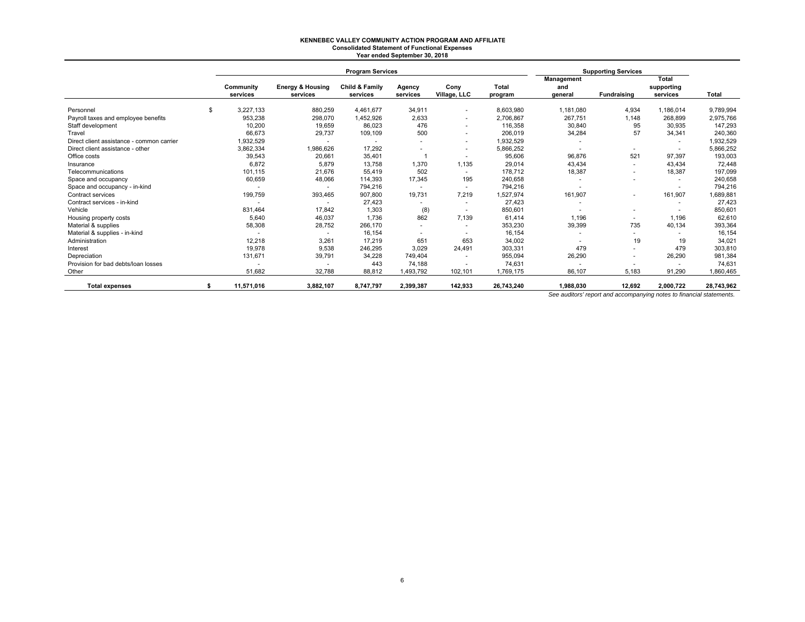#### **KENNEBEC VALLEY COMMUNITY ACTION PROGRAM AND AFFILIATE Year ended September 30, 2018 Consolidated Statement of Functional Expenses**

|                                           | <b>Program Services</b> |                             |                           |           |                          |            |                          | <b>Supporting Services</b> |                            |            |
|-------------------------------------------|-------------------------|-----------------------------|---------------------------|-----------|--------------------------|------------|--------------------------|----------------------------|----------------------------|------------|
|                                           | Community               | <b>Energy &amp; Housing</b> | <b>Child &amp; Family</b> | Agency    | Cony                     | Total      | Management<br>and        |                            | <b>Total</b><br>supporting |            |
|                                           | services                | services                    | services                  | services  | Village, LLC             | program    | general                  | <b>Fundraising</b>         | services                   | Total      |
| Personnel                                 | \$<br>3.227.133         | 880,259                     | 4,461,677                 | 34,911    | $\sim$                   | 8,603,980  | 1,181,080                | 4,934                      | 1,186,014                  | 9,789,994  |
| Payroll taxes and employee benefits       | 953.238                 | 298,070                     | 1,452,926                 | 2,633     | $\sim$                   | 2,706,867  | 267,751                  | 1.148                      | 268,899                    | 2,975,766  |
| Staff development                         | 10.200                  | 19.659                      | 86.023                    | 476       | $\sim$                   | 116,358    | 30,840                   | 95                         | 30.935                     | 147.293    |
| Travel                                    | 66,673                  | 29,737                      | 109,109                   | 500       | ۰                        | 206,019    | 34,284                   | 57                         | 34,341                     | 240,360    |
| Direct client assistance - common carrier | 1,932,529               | $\sim$                      |                           | $\sim$    | $\sim$                   | 1,932,529  |                          |                            |                            | 1,932,529  |
| Direct client assistance - other          | 3,862,334               | 1,986,626                   | 17,292                    |           |                          | 5,866,252  | $\overline{\phantom{a}}$ |                            |                            | 5,866,252  |
| Office costs                              | 39,543                  | 20,661                      | 35.401                    |           | $\overline{\phantom{a}}$ | 95,606     | 96,876                   | 521                        | 97,397                     | 193,003    |
| Insurance                                 | 6,872                   | 5.879                       | 13,758                    | 1,370     | 1,135                    | 29,014     | 43,434                   |                            | 43,434                     | 72.448     |
| Telecommunications                        | 101.115                 | 21,676                      | 55.419                    | 502       |                          | 178,712    | 18,387                   |                            | 18,387                     | 197.099    |
| Space and occupancy                       | 60,659                  | 48,066                      | 114,393                   | 17,345    | 195                      | 240,658    | $\overline{\phantom{a}}$ |                            |                            | 240,658    |
| Space and occupancy - in-kind             |                         | ٠                           | 794.216                   |           | $\overline{\phantom{a}}$ | 794,216    | $\overline{\phantom{a}}$ |                            |                            | 794,216    |
| Contract services                         | 199,759                 | 393,465                     | 907.800                   | 19.731    | 7,219                    | 1,527,974  | 161,907                  |                            | 161,907                    | 1,689,881  |
| Contract services - in-kind               |                         | ٠                           | 27,423                    |           | $\overline{\phantom{a}}$ | 27,423     |                          |                            |                            | 27,423     |
| Vehicle                                   | 831,464                 | 17.842                      | 1,303                     | (8)       |                          | 850,601    |                          |                            |                            | 850,601    |
| Housing property costs                    | 5,640                   | 46.037                      | 1.736                     | 862       | 7,139                    | 61,414     | 1.196                    |                            | 1.196                      | 62.610     |
| Material & supplies                       | 58,308                  | 28,752                      | 266,170                   | $\sim$    | ۰                        | 353,230    | 39,399                   | 735                        | 40,134                     | 393,364    |
| Material & supplies - in-kind             |                         | $\sim$                      | 16.154                    | $\sim$    | $\overline{\phantom{a}}$ | 16,154     |                          |                            |                            | 16,154     |
| Administration                            | 12,218                  | 3,261                       | 17.219                    | 651       | 653                      | 34,002     |                          | 19                         | 19                         | 34,021     |
| Interest                                  | 19,978                  | 9.538                       | 246,295                   | 3.029     | 24.491                   | 303,331    | 479                      |                            | 479                        | 303,810    |
| Depreciation                              | 131,671                 | 39,791                      | 34,228                    | 749,404   |                          | 955,094    | 26,290                   |                            | 26,290                     | 981,384    |
| Provision for bad debts/loan losses       |                         | ٠                           | 443                       | 74.188    |                          | 74,631     |                          |                            |                            | 74,631     |
| Other                                     | 51,682                  | 32,788                      | 88,812                    | 1,493,792 | 102,101                  | 1,769,175  | 86,107                   | 5,183                      | 91,290                     | 1,860,465  |
| <b>Total expenses</b>                     | 11.571.016              | 3.882.107                   | 8,747,797                 | 2.399.387 | 142.933                  | 26,743,240 | 1.988.030                | 12.692                     | 2,000,722                  | 28,743,962 |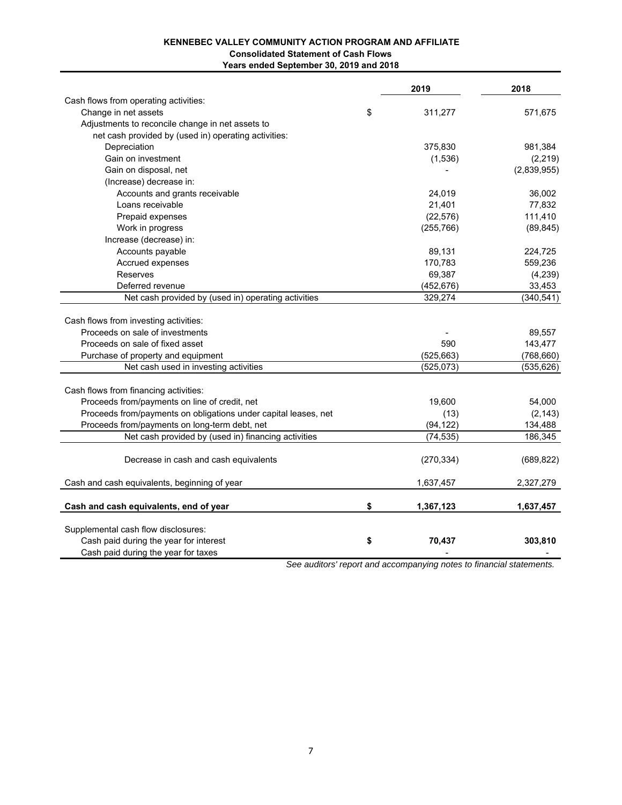#### **Consolidated Statement of Cash Flows KENNEBEC VALLEY COMMUNITY ACTION PROGRAM AND AFFILIATE**

**Years ended September 30, 2019 and 2018**

|                                                                          | 2019            | 2018        |
|--------------------------------------------------------------------------|-----------------|-------------|
| Cash flows from operating activities:                                    |                 |             |
| Change in net assets                                                     | \$<br>311,277   | 571,675     |
| Adjustments to reconcile change in net assets to                         |                 |             |
| net cash provided by (used in) operating activities:                     |                 |             |
| Depreciation                                                             | 375,830         | 981,384     |
| Gain on investment                                                       | (1,536)         | (2, 219)    |
| Gain on disposal, net                                                    |                 | (2,839,955) |
| (Increase) decrease in:                                                  |                 |             |
| Accounts and grants receivable                                           | 24,019          | 36,002      |
| Loans receivable                                                         | 21,401          | 77,832      |
| Prepaid expenses                                                         | (22, 576)       | 111,410     |
| Work in progress                                                         | (255, 766)      | (89, 845)   |
| Increase (decrease) in:                                                  |                 |             |
| Accounts payable                                                         | 89,131          | 224,725     |
| Accrued expenses                                                         | 170,783         | 559,236     |
| <b>Reserves</b>                                                          | 69,387          | (4, 239)    |
| Deferred revenue                                                         | (452, 676)      | 33,453      |
| Net cash provided by (used in) operating activities                      | 329,274         | (340, 541)  |
| Cash flows from investing activities:<br>Proceeds on sale of investments |                 | 89,557      |
| Proceeds on sale of fixed asset                                          | 590             |             |
|                                                                          |                 | 143,477     |
| Purchase of property and equipment                                       | (525, 663)      | (768, 660)  |
| Net cash used in investing activities                                    | (525, 073)      | (535, 626)  |
| Cash flows from financing activities:                                    |                 |             |
| Proceeds from/payments on line of credit, net                            | 19,600          | 54,000      |
| Proceeds from/payments on obligations under capital leases, net          | (13)            | (2, 143)    |
| Proceeds from/payments on long-term debt, net                            | (94, 122)       | 134,488     |
| Net cash provided by (used in) financing activities                      | (74, 535)       | 186,345     |
| Decrease in cash and cash equivalents                                    | (270, 334)      | (689, 822)  |
| Cash and cash equivalents, beginning of year                             | 1,637,457       | 2,327,279   |
| Cash and cash equivalents, end of year                                   | \$<br>1,367,123 | 1,637,457   |
| Supplemental cash flow disclosures:                                      |                 |             |
| Cash paid during the year for interest                                   | \$<br>70,437    | 303,810     |
| Cash paid during the year for taxes                                      |                 |             |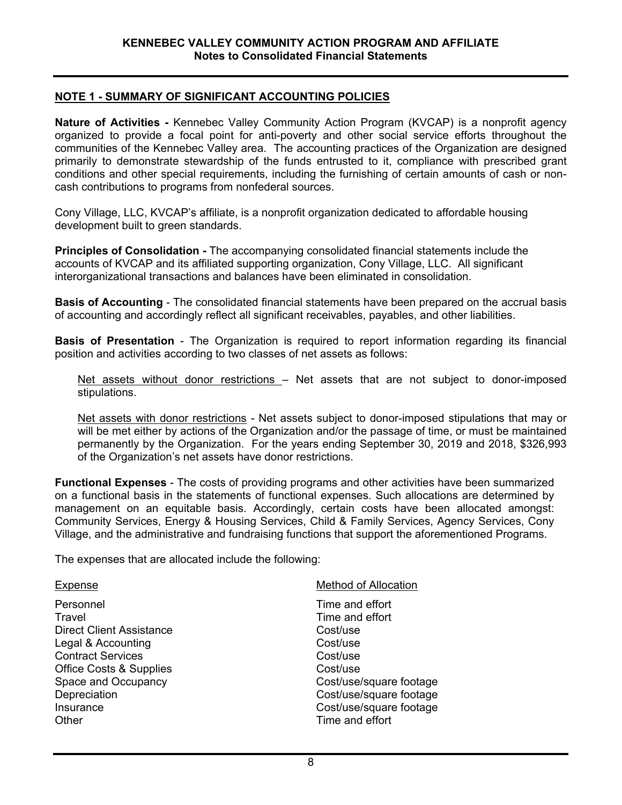## **NOTE 1 - SUMMARY OF SIGNIFICANT ACCOUNTING POLICIES**

**Nature of Activities -** Kennebec Valley Community Action Program (KVCAP) is a nonprofit agency organized to provide a focal point for anti-poverty and other social service efforts throughout the communities of the Kennebec Valley area. The accounting practices of the Organization are designed primarily to demonstrate stewardship of the funds entrusted to it, compliance with prescribed grant conditions and other special requirements, including the furnishing of certain amounts of cash or noncash contributions to programs from nonfederal sources.

Cony Village, LLC, KVCAP's affiliate, is a nonprofit organization dedicated to affordable housing development built to green standards.

**Principles of Consolidation -** The accompanying consolidated financial statements include the accounts of KVCAP and its affiliated supporting organization, Cony Village, LLC. All significant interorganizational transactions and balances have been eliminated in consolidation.

**Basis of Accounting** - The consolidated financial statements have been prepared on the accrual basis of accounting and accordingly reflect all significant receivables, payables, and other liabilities.

**Basis of Presentation** - The Organization is required to report information regarding its financial position and activities according to two classes of net assets as follows:

Net assets without donor restrictions - Net assets that are not subject to donor-imposed stipulations.

 Net assets with donor restrictions - Net assets subject to donor-imposed stipulations that may or will be met either by actions of the Organization and/or the passage of time, or must be maintained permanently by the Organization. For the years ending September 30, 2019 and 2018, \$326,993 of the Organization's net assets have donor restrictions.

**Functional Expenses** - The costs of providing programs and other activities have been summarized on a functional basis in the statements of functional expenses. Such allocations are determined by management on an equitable basis. Accordingly, certain costs have been allocated amongst: Community Services, Energy & Housing Services, Child & Family Services, Agency Services, Cony Village, and the administrative and fundraising functions that support the aforementioned Programs.

The expenses that are allocated include the following:

| Expense                            | <b>Method of Allocation</b> |
|------------------------------------|-----------------------------|
| Personnel                          | Time and effort             |
| Travel                             | Time and effort             |
| <b>Direct Client Assistance</b>    | Cost/use                    |
| Legal & Accounting                 | Cost/use                    |
| <b>Contract Services</b>           | Cost/use                    |
| <b>Office Costs &amp; Supplies</b> | Cost/use                    |
| Space and Occupancy                | Cost/use/square footage     |
| Depreciation                       | Cost/use/square footage     |
| Insurance                          | Cost/use/square footage     |
| Other                              | Time and effort             |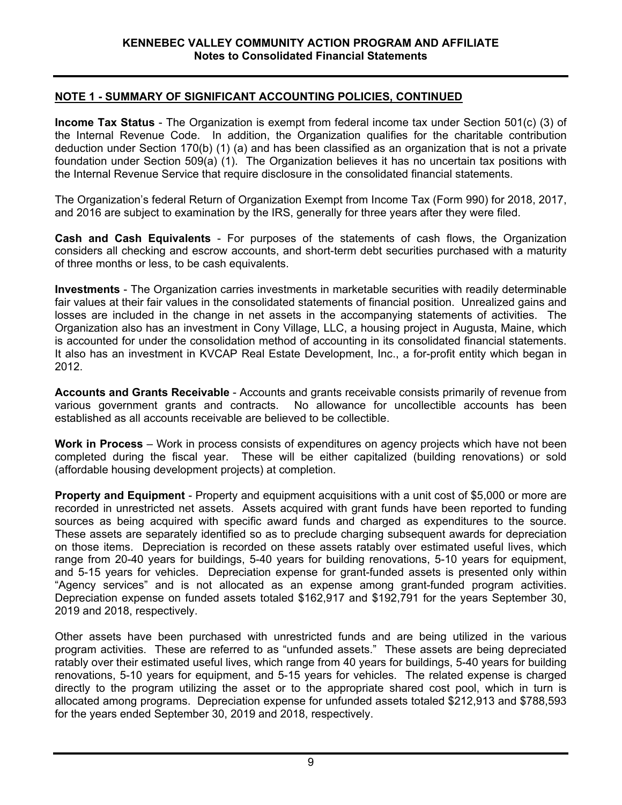## **NOTE 1 - SUMMARY OF SIGNIFICANT ACCOUNTING POLICIES, CONTINUED**

**Income Tax Status** - The Organization is exempt from federal income tax under Section 501(c) (3) of the Internal Revenue Code. In addition, the Organization qualifies for the charitable contribution deduction under Section 170(b) (1) (a) and has been classified as an organization that is not a private foundation under Section 509(a) (1). The Organization believes it has no uncertain tax positions with the Internal Revenue Service that require disclosure in the consolidated financial statements.

The Organization's federal Return of Organization Exempt from Income Tax (Form 990) for 2018, 2017, and 2016 are subject to examination by the IRS, generally for three years after they were filed.

**Cash and Cash Equivalents** - For purposes of the statements of cash flows, the Organization considers all checking and escrow accounts, and short-term debt securities purchased with a maturity of three months or less, to be cash equivalents.

**Investments** - The Organization carries investments in marketable securities with readily determinable fair values at their fair values in the consolidated statements of financial position. Unrealized gains and losses are included in the change in net assets in the accompanying statements of activities. The Organization also has an investment in Cony Village, LLC, a housing project in Augusta, Maine, which is accounted for under the consolidation method of accounting in its consolidated financial statements. It also has an investment in KVCAP Real Estate Development, Inc., a for-profit entity which began in 2012.

**Accounts and Grants Receivable** - Accounts and grants receivable consists primarily of revenue from various government grants and contracts. No allowance for uncollectible accounts has been established as all accounts receivable are believed to be collectible.

**Work in Process** – Work in process consists of expenditures on agency projects which have not been completed during the fiscal year. These will be either capitalized (building renovations) or sold (affordable housing development projects) at completion.

**Property and Equipment** - Property and equipment acquisitions with a unit cost of \$5,000 or more are recorded in unrestricted net assets. Assets acquired with grant funds have been reported to funding sources as being acquired with specific award funds and charged as expenditures to the source. These assets are separately identified so as to preclude charging subsequent awards for depreciation on those items. Depreciation is recorded on these assets ratably over estimated useful lives, which range from 20-40 years for buildings, 5-40 years for building renovations, 5-10 years for equipment, and 5-15 years for vehicles. Depreciation expense for grant-funded assets is presented only within "Agency services" and is not allocated as an expense among grant-funded program activities. Depreciation expense on funded assets totaled \$162,917 and \$192,791 for the years September 30, 2019 and 2018, respectively.

Other assets have been purchased with unrestricted funds and are being utilized in the various program activities. These are referred to as "unfunded assets." These assets are being depreciated ratably over their estimated useful lives, which range from 40 years for buildings, 5-40 years for building renovations, 5-10 years for equipment, and 5-15 years for vehicles. The related expense is charged directly to the program utilizing the asset or to the appropriate shared cost pool, which in turn is allocated among programs. Depreciation expense for unfunded assets totaled \$212,913 and \$788,593 for the years ended September 30, 2019 and 2018, respectively.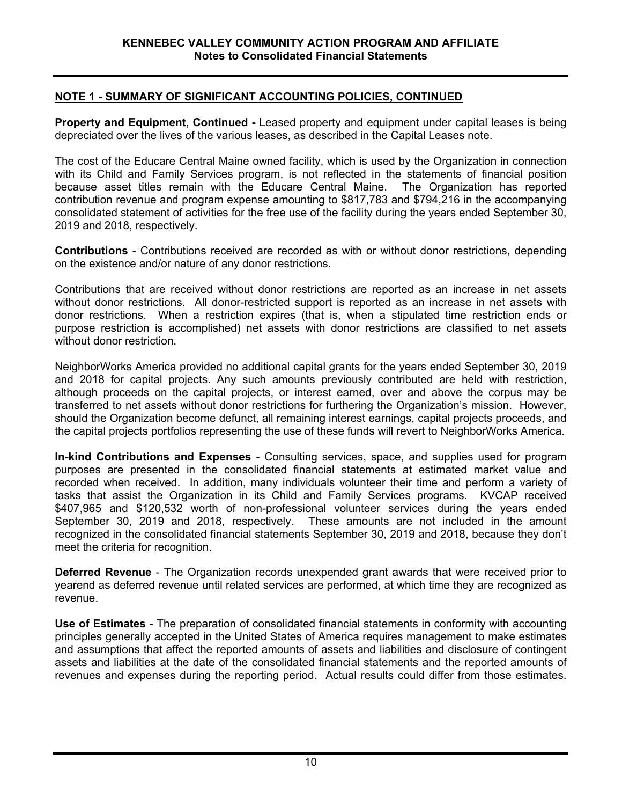## **NOTE 1 - SUMMARY OF SIGNIFICANT ACCOUNTING POLICIES, CONTINUED**

**Property and Equipment, Continued -** Leased property and equipment under capital leases is being depreciated over the lives of the various leases, as described in the Capital Leases note.

The cost of the Educare Central Maine owned facility, which is used by the Organization in connection with its Child and Family Services program, is not reflected in the statements of financial position because asset titles remain with the Educare Central Maine. The Organization has reported contribution revenue and program expense amounting to \$817,783 and \$794,216 in the accompanying consolidated statement of activities for the free use of the facility during the years ended September 30, 2019 and 2018, respectively.

**Contributions** - Contributions received are recorded as with or without donor restrictions, depending on the existence and/or nature of any donor restrictions.

Contributions that are received without donor restrictions are reported as an increase in net assets without donor restrictions. All donor-restricted support is reported as an increase in net assets with donor restrictions. When a restriction expires (that is, when a stipulated time restriction ends or purpose restriction is accomplished) net assets with donor restrictions are classified to net assets without donor restriction.

NeighborWorks America provided no additional capital grants for the years ended September 30, 2019 and 2018 for capital projects. Any such amounts previously contributed are held with restriction, although proceeds on the capital projects, or interest earned, over and above the corpus may be transferred to net assets without donor restrictions for furthering the Organization's mission. However, should the Organization become defunct, all remaining interest earnings, capital projects proceeds, and the capital projects portfolios representing the use of these funds will revert to NeighborWorks America.

**In-kind Contributions and Expenses** - Consulting services, space, and supplies used for program purposes are presented in the consolidated financial statements at estimated market value and recorded when received. In addition, many individuals volunteer their time and perform a variety of tasks that assist the Organization in its Child and Family Services programs. KVCAP received \$407,965 and \$120,532 worth of non-professional volunteer services during the years ended September 30, 2019 and 2018, respectively. These amounts are not included in the amount recognized in the consolidated financial statements September 30, 2019 and 2018, because they don't meet the criteria for recognition.

**Deferred Revenue** - The Organization records unexpended grant awards that were received prior to yearend as deferred revenue until related services are performed, at which time they are recognized as revenue.

**Use of Estimates** - The preparation of consolidated financial statements in conformity with accounting principles generally accepted in the United States of America requires management to make estimates and assumptions that affect the reported amounts of assets and liabilities and disclosure of contingent assets and liabilities at the date of the consolidated financial statements and the reported amounts of revenues and expenses during the reporting period. Actual results could differ from those estimates.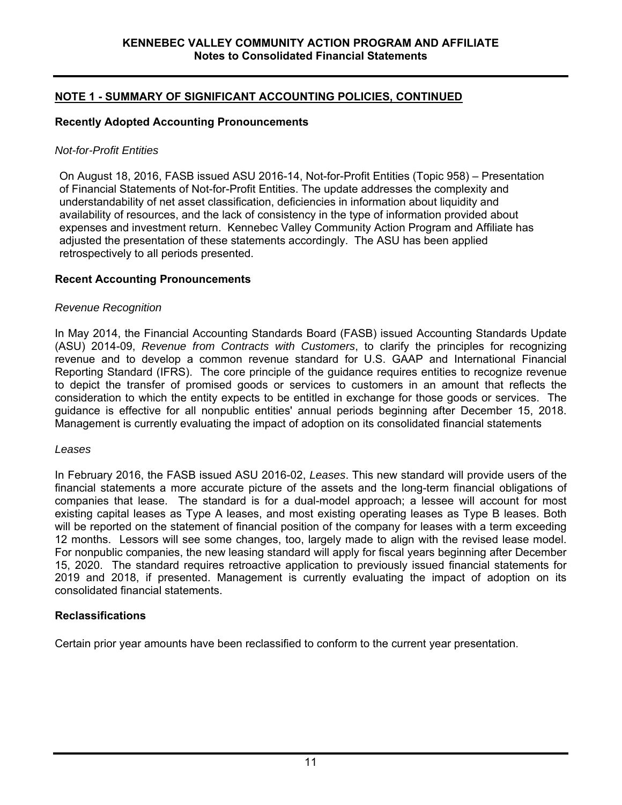# **NOTE 1 - SUMMARY OF SIGNIFICANT ACCOUNTING POLICIES, CONTINUED**

## **Recently Adopted Accounting Pronouncements**

## *Not-for-Profit Entities*

On August 18, 2016, FASB issued ASU 2016-14, Not-for-Profit Entities (Topic 958) – Presentation of Financial Statements of Not-for-Profit Entities. The update addresses the complexity and understandability of net asset classification, deficiencies in information about liquidity and availability of resources, and the lack of consistency in the type of information provided about expenses and investment return. Kennebec Valley Community Action Program and Affiliate has adjusted the presentation of these statements accordingly. The ASU has been applied retrospectively to all periods presented.

## **Recent Accounting Pronouncements**

### *Revenue Recognition*

In May 2014, the Financial Accounting Standards Board (FASB) issued Accounting Standards Update (ASU) 2014-09, *Revenue from Contracts with Customers*, to clarify the principles for recognizing revenue and to develop a common revenue standard for U.S. GAAP and International Financial Reporting Standard (IFRS). The core principle of the guidance requires entities to recognize revenue to depict the transfer of promised goods or services to customers in an amount that reflects the consideration to which the entity expects to be entitled in exchange for those goods or services. The guidance is effective for all nonpublic entities' annual periods beginning after December 15, 2018. Management is currently evaluating the impact of adoption on its consolidated financial statements

### *Leases*

In February 2016, the FASB issued ASU 2016-02, *Leases*. This new standard will provide users of the financial statements a more accurate picture of the assets and the long-term financial obligations of companies that lease. The standard is for a dual-model approach; a lessee will account for most existing capital leases as Type A leases, and most existing operating leases as Type B leases. Both will be reported on the statement of financial position of the company for leases with a term exceeding 12 months. Lessors will see some changes, too, largely made to align with the revised lease model. For nonpublic companies, the new leasing standard will apply for fiscal years beginning after December 15, 2020. The standard requires retroactive application to previously issued financial statements for 2019 and 2018, if presented. Management is currently evaluating the impact of adoption on its consolidated financial statements.

### **Reclassifications**

Certain prior year amounts have been reclassified to conform to the current year presentation.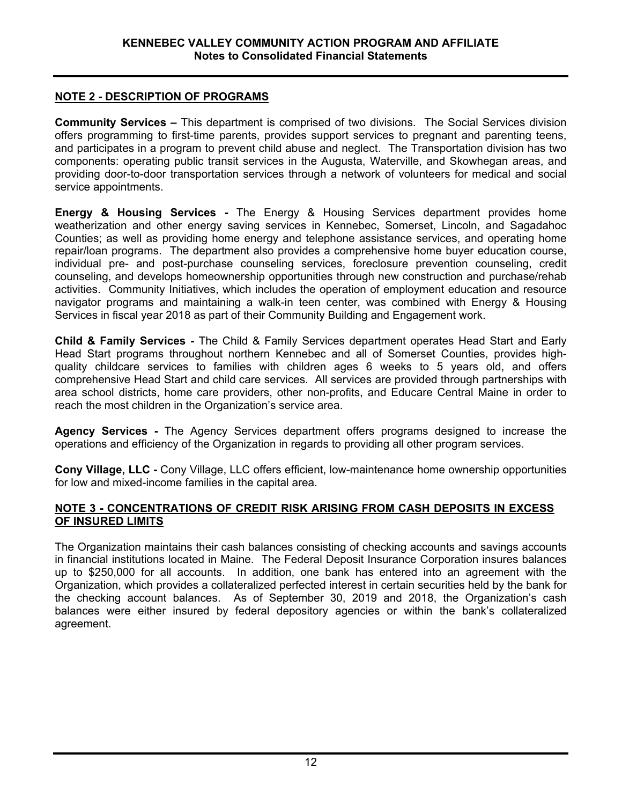## **NOTE 2 - DESCRIPTION OF PROGRAMS**

**Community Services –** This department is comprised of two divisions. The Social Services division offers programming to first-time parents, provides support services to pregnant and parenting teens, and participates in a program to prevent child abuse and neglect. The Transportation division has two components: operating public transit services in the Augusta, Waterville, and Skowhegan areas, and providing door-to-door transportation services through a network of volunteers for medical and social service appointments.

**Energy & Housing Services -** The Energy & Housing Services department provides home weatherization and other energy saving services in Kennebec, Somerset, Lincoln, and Sagadahoc Counties; as well as providing home energy and telephone assistance services, and operating home repair/loan programs. The department also provides a comprehensive home buyer education course, individual pre- and post-purchase counseling services, foreclosure prevention counseling, credit counseling, and develops homeownership opportunities through new construction and purchase/rehab activities. Community Initiatives, which includes the operation of employment education and resource navigator programs and maintaining a walk-in teen center, was combined with Energy & Housing Services in fiscal year 2018 as part of their Community Building and Engagement work.

**Child & Family Services -** The Child & Family Services department operates Head Start and Early Head Start programs throughout northern Kennebec and all of Somerset Counties, provides highquality childcare services to families with children ages 6 weeks to 5 years old, and offers comprehensive Head Start and child care services. All services are provided through partnerships with area school districts, home care providers, other non-profits, and Educare Central Maine in order to reach the most children in the Organization's service area.

**Agency Services -** The Agency Services department offers programs designed to increase the operations and efficiency of the Organization in regards to providing all other program services.

**Cony Village, LLC -** Cony Village, LLC offers efficient, low-maintenance home ownership opportunities for low and mixed-income families in the capital area.

## **NOTE 3 - CONCENTRATIONS OF CREDIT RISK ARISING FROM CASH DEPOSITS IN EXCESS OF INSURED LIMITS**

The Organization maintains their cash balances consisting of checking accounts and savings accounts in financial institutions located in Maine. The Federal Deposit Insurance Corporation insures balances up to \$250,000 for all accounts. In addition, one bank has entered into an agreement with the Organization, which provides a collateralized perfected interest in certain securities held by the bank for the checking account balances. As of September 30, 2019 and 2018, the Organization's cash balances were either insured by federal depository agencies or within the bank's collateralized agreement.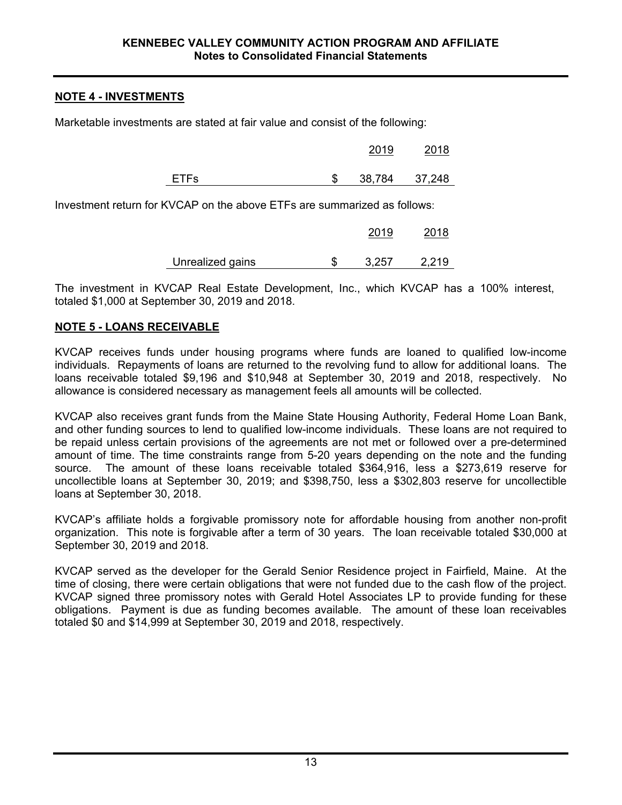## **NOTE 4 - INVESTMENTS**

Marketable investments are stated at fair value and consist of the following:

|             | 2019   | 2018   |
|-------------|--------|--------|
| <b>ETFs</b> | 38,784 | 37,248 |

Investment return for KVCAP on the above ETFs are summarized as follows:

|                  | 2019  | 2018  |
|------------------|-------|-------|
| Unrealized gains | 3,257 | 2,219 |

The investment in KVCAP Real Estate Development, Inc., which KVCAP has a 100% interest, totaled \$1,000 at September 30, 2019 and 2018.

## **NOTE 5 - LOANS RECEIVABLE**

KVCAP receives funds under housing programs where funds are loaned to qualified low-income individuals. Repayments of loans are returned to the revolving fund to allow for additional loans. The loans receivable totaled \$9,196 and \$10,948 at September 30, 2019 and 2018, respectively. No allowance is considered necessary as management feels all amounts will be collected.

KVCAP also receives grant funds from the Maine State Housing Authority, Federal Home Loan Bank, and other funding sources to lend to qualified low-income individuals. These loans are not required to be repaid unless certain provisions of the agreements are not met or followed over a pre-determined amount of time. The time constraints range from 5-20 years depending on the note and the funding source. The amount of these loans receivable totaled \$364,916, less a \$273,619 reserve for uncollectible loans at September 30, 2019; and \$398,750, less a \$302,803 reserve for uncollectible loans at September 30, 2018.

KVCAP's affiliate holds a forgivable promissory note for affordable housing from another non-profit organization. This note is forgivable after a term of 30 years. The loan receivable totaled \$30,000 at September 30, 2019 and 2018.

KVCAP served as the developer for the Gerald Senior Residence project in Fairfield, Maine. At the time of closing, there were certain obligations that were not funded due to the cash flow of the project. KVCAP signed three promissory notes with Gerald Hotel Associates LP to provide funding for these obligations. Payment is due as funding becomes available. The amount of these loan receivables totaled \$0 and \$14,999 at September 30, 2019 and 2018, respectively.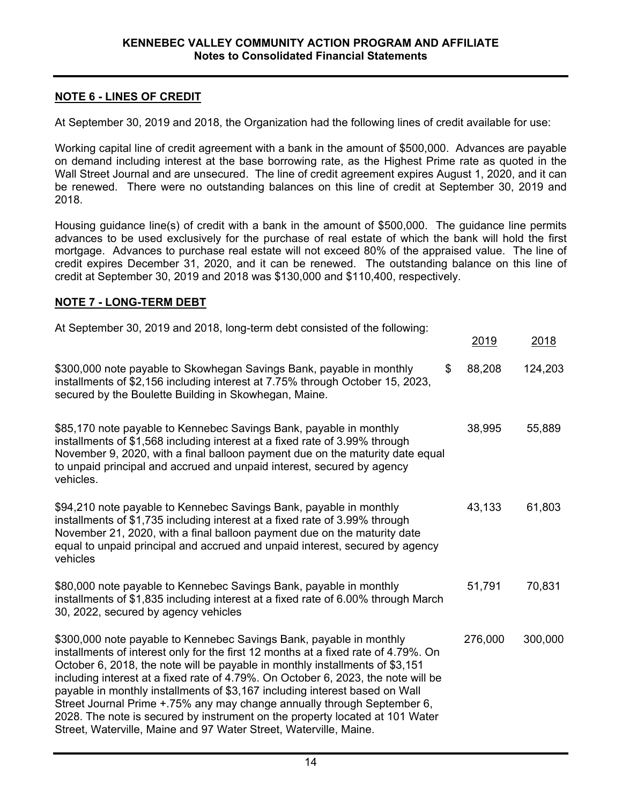## **NOTE 6 - LINES OF CREDIT**

At September 30, 2019 and 2018, the Organization had the following lines of credit available for use:

Working capital line of credit agreement with a bank in the amount of \$500,000. Advances are payable on demand including interest at the base borrowing rate, as the Highest Prime rate as quoted in the Wall Street Journal and are unsecured. The line of credit agreement expires August 1, 2020, and it can be renewed. There were no outstanding balances on this line of credit at September 30, 2019 and 2018.

Housing guidance line(s) of credit with a bank in the amount of \$500,000. The guidance line permits advances to be used exclusively for the purchase of real estate of which the bank will hold the first mortgage. Advances to purchase real estate will not exceed 80% of the appraised value. The line of credit expires December 31, 2020, and it can be renewed. The outstanding balance on this line of credit at September 30, 2019 and 2018 was \$130,000 and \$110,400, respectively.

## **NOTE 7 - LONG-TERM DEBT**

| At September 30, 2019 and 2018, long-term debt consisted of the following:                                                                                                                                                                                                                                                                                                                                                                                                                                                                                                                                                                    | 2019         | <u>2018</u> |
|-----------------------------------------------------------------------------------------------------------------------------------------------------------------------------------------------------------------------------------------------------------------------------------------------------------------------------------------------------------------------------------------------------------------------------------------------------------------------------------------------------------------------------------------------------------------------------------------------------------------------------------------------|--------------|-------------|
| \$300,000 note payable to Skowhegan Savings Bank, payable in monthly<br>installments of \$2,156 including interest at 7.75% through October 15, 2023,<br>secured by the Boulette Building in Skowhegan, Maine.                                                                                                                                                                                                                                                                                                                                                                                                                                | \$<br>88,208 | 124,203     |
| \$85,170 note payable to Kennebec Savings Bank, payable in monthly<br>installments of \$1,568 including interest at a fixed rate of 3.99% through<br>November 9, 2020, with a final balloon payment due on the maturity date equal<br>to unpaid principal and accrued and unpaid interest, secured by agency<br>vehicles.                                                                                                                                                                                                                                                                                                                     | 38,995       | 55,889      |
| \$94,210 note payable to Kennebec Savings Bank, payable in monthly<br>installments of \$1,735 including interest at a fixed rate of 3.99% through<br>November 21, 2020, with a final balloon payment due on the maturity date<br>equal to unpaid principal and accrued and unpaid interest, secured by agency<br>vehicles                                                                                                                                                                                                                                                                                                                     | 43,133       | 61,803      |
| \$80,000 note payable to Kennebec Savings Bank, payable in monthly<br>installments of \$1,835 including interest at a fixed rate of 6.00% through March<br>30, 2022, secured by agency vehicles                                                                                                                                                                                                                                                                                                                                                                                                                                               | 51,791       | 70,831      |
| \$300,000 note payable to Kennebec Savings Bank, payable in monthly<br>installments of interest only for the first 12 months at a fixed rate of 4.79%. On<br>October 6, 2018, the note will be payable in monthly installments of \$3,151<br>including interest at a fixed rate of 4.79%. On October 6, 2023, the note will be<br>payable in monthly installments of \$3,167 including interest based on Wall<br>Street Journal Prime +.75% any may change annually through September 6,<br>2028. The note is secured by instrument on the property located at 101 Water<br>Street, Waterville, Maine and 97 Water Street, Waterville, Maine. | 276,000      | 300,000     |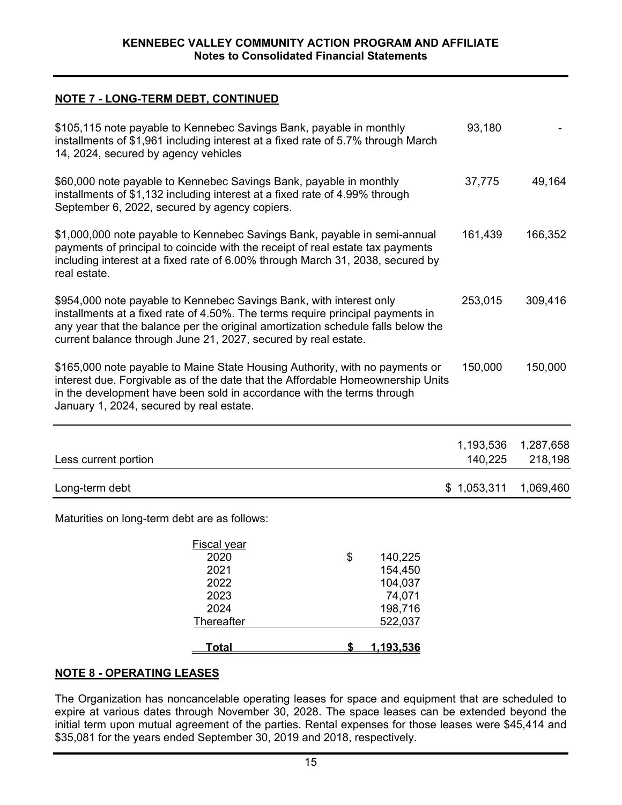# **NOTE 7 - LONG-TERM DEBT, CONTINUED**

| \$105,115 note payable to Kennebec Savings Bank, payable in monthly<br>installments of \$1,961 including interest at a fixed rate of 5.7% through March<br>14, 2024, secured by agency vehicles                                                                                                             | 93,180      |           |
|-------------------------------------------------------------------------------------------------------------------------------------------------------------------------------------------------------------------------------------------------------------------------------------------------------------|-------------|-----------|
| \$60,000 note payable to Kennebec Savings Bank, payable in monthly<br>installments of \$1,132 including interest at a fixed rate of 4.99% through<br>September 6, 2022, secured by agency copiers.                                                                                                          | 37,775      | 49,164    |
| \$1,000,000 note payable to Kennebec Savings Bank, payable in semi-annual<br>payments of principal to coincide with the receipt of real estate tax payments<br>including interest at a fixed rate of 6.00% through March 31, 2038, secured by<br>real estate.                                               | 161,439     | 166,352   |
| \$954,000 note payable to Kennebec Savings Bank, with interest only<br>installments at a fixed rate of 4.50%. The terms require principal payments in<br>any year that the balance per the original amortization schedule falls below the<br>current balance through June 21, 2027, secured by real estate. | 253,015     | 309,416   |
| \$165,000 note payable to Maine State Housing Authority, with no payments or<br>interest due. Forgivable as of the date that the Affordable Homeownership Units<br>in the development have been sold in accordance with the terms through<br>January 1, 2024, secured by real estate.                       | 150,000     | 150,000   |
|                                                                                                                                                                                                                                                                                                             | 1,193,536   | 1,287,658 |
| Less current portion                                                                                                                                                                                                                                                                                        | 140,225     | 218,198   |
| Long-term debt                                                                                                                                                                                                                                                                                              | \$1,053,311 | 1,069,460 |
| Maturities on long-term debt are as follows:                                                                                                                                                                                                                                                                |             |           |

| Total              | 1,193,536     |
|--------------------|---------------|
| Thereafter         | 522,037       |
| 2024               | 198,716       |
| 2023               | 74,071        |
| 2022               | 104,037       |
| 2021               | 154,450       |
| 2020               | \$<br>140,225 |
| <b>Fiscal year</b> |               |

## **NOTE 8 - OPERATING LEASES**

The Organization has noncancelable operating leases for space and equipment that are scheduled to expire at various dates through November 30, 2028. The space leases can be extended beyond the initial term upon mutual agreement of the parties. Rental expenses for those leases were \$45,414 and \$35,081 for the years ended September 30, 2019 and 2018, respectively.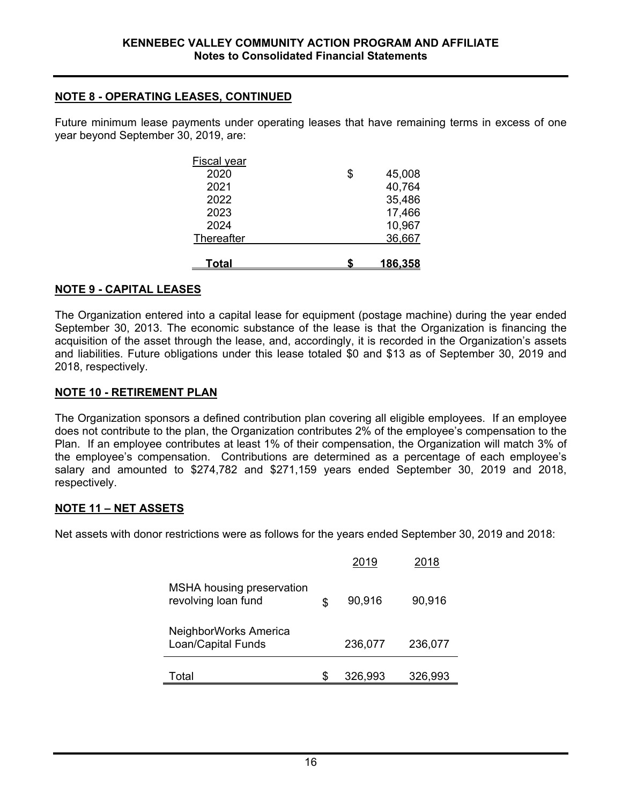## **NOTE 8 - OPERATING LEASES, CONTINUED**

Future minimum lease payments under operating leases that have remaining terms in excess of one year beyond September 30, 2019, are:

| <u>Total</u>       | 186,358      |
|--------------------|--------------|
| Thereafter         | 36,667       |
| 2024               | 10,967       |
| 2023               | 17,466       |
| 2022               | 35,486       |
| 2021               | 40,764       |
| 2020               | \$<br>45,008 |
| <b>Fiscal year</b> |              |

## **NOTE 9 - CAPITAL LEASES**

The Organization entered into a capital lease for equipment (postage machine) during the year ended September 30, 2013. The economic substance of the lease is that the Organization is financing the acquisition of the asset through the lease, and, accordingly, it is recorded in the Organization's assets and liabilities. Future obligations under this lease totaled \$0 and \$13 as of September 30, 2019 and 2018, respectively.

### **NOTE 10 - RETIREMENT PLAN**

The Organization sponsors a defined contribution plan covering all eligible employees. If an employee does not contribute to the plan, the Organization contributes 2% of the employee's compensation to the Plan. If an employee contributes at least 1% of their compensation, the Organization will match 3% of the employee's compensation. Contributions are determined as a percentage of each employee's salary and amounted to \$274,782 and \$271,159 years ended September 30, 2019 and 2018, respectively.

### **NOTE 11 – NET ASSETS**

Net assets with donor restrictions were as follows for the years ended September 30, 2019 and 2018:

|                                                         | 2019         | 2018    |
|---------------------------------------------------------|--------------|---------|
| <b>MSHA housing preservation</b><br>revolving loan fund | \$<br>90,916 | 90,916  |
| NeighborWorks America<br>Loan/Capital Funds             | 236,077      | 236,077 |
| Total                                                   | 326,993      | 326,993 |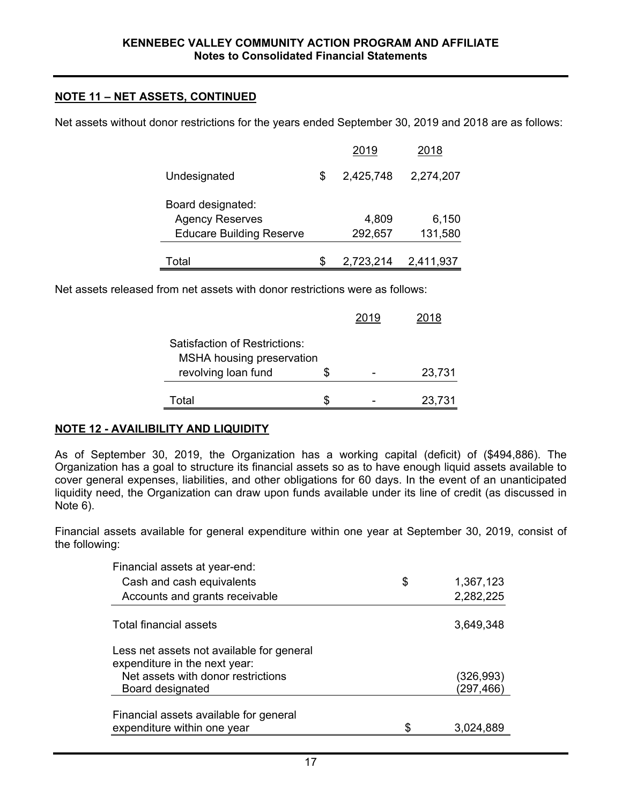## **NOTE 11 – NET ASSETS, CONTINUED**

Net assets without donor restrictions for the years ended September 30, 2019 and 2018 are as follows:

|                                 |   | 2019      | 2018      |
|---------------------------------|---|-----------|-----------|
| Undesignated                    | S | 2,425,748 | 2,274,207 |
| Board designated:               |   |           |           |
| <b>Agency Reserves</b>          |   | 4,809     | 6,150     |
| <b>Educare Building Reserve</b> |   | 292,657   | 131,580   |
|                                 |   |           |           |
| Total                           |   | 2,723,214 | 2,411,937 |

Net assets released from net assets with donor restrictions were as follows:

|                                                            | 2019 | 2018   |
|------------------------------------------------------------|------|--------|
| Satisfaction of Restrictions:<br>MSHA housing preservation |      |        |
| revolving loan fund                                        |      | 23,731 |
| Total                                                      |      | 23,731 |

### **NOTE 12 - AVAILIBILITY AND LIQUIDITY**

As of September 30, 2019, the Organization has a working capital (deficit) of (\$494,886). The Organization has a goal to structure its financial assets so as to have enough liquid assets available to cover general expenses, liabilities, and other obligations for 60 days. In the event of an unanticipated liquidity need, the Organization can draw upon funds available under its line of credit (as discussed in Note 6).

Financial assets available for general expenditure within one year at September 30, 2019, consist of the following:

| Financial assets at year-end:                                              |                 |
|----------------------------------------------------------------------------|-----------------|
| Cash and cash equivalents                                                  | \$<br>1,367,123 |
| Accounts and grants receivable                                             | 2,282,225       |
| Total financial assets                                                     | 3,649,348       |
| Less net assets not available for general<br>expenditure in the next year: |                 |
| Net assets with donor restrictions                                         | (326,993)       |
| Board designated                                                           | (297,466)       |
| Financial assets available for general                                     |                 |
| expenditure within one year                                                | 3.024.889       |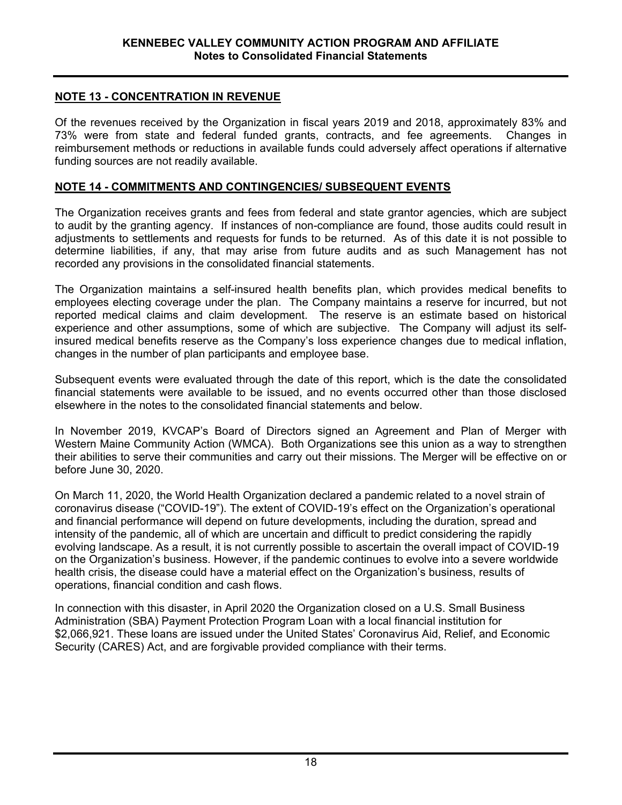## **NOTE 13 - CONCENTRATION IN REVENUE**

Of the revenues received by the Organization in fiscal years 2019 and 2018, approximately 83% and 73% were from state and federal funded grants, contracts, and fee agreements. Changes in reimbursement methods or reductions in available funds could adversely affect operations if alternative funding sources are not readily available.

# **NOTE 14 - COMMITMENTS AND CONTINGENCIES/ SUBSEQUENT EVENTS**

The Organization receives grants and fees from federal and state grantor agencies, which are subject to audit by the granting agency. If instances of non-compliance are found, those audits could result in adjustments to settlements and requests for funds to be returned. As of this date it is not possible to determine liabilities, if any, that may arise from future audits and as such Management has not recorded any provisions in the consolidated financial statements.

The Organization maintains a self-insured health benefits plan, which provides medical benefits to employees electing coverage under the plan. The Company maintains a reserve for incurred, but not reported medical claims and claim development. The reserve is an estimate based on historical experience and other assumptions, some of which are subjective. The Company will adjust its selfinsured medical benefits reserve as the Company's loss experience changes due to medical inflation, changes in the number of plan participants and employee base.

Subsequent events were evaluated through the date of this report, which is the date the consolidated financial statements were available to be issued, and no events occurred other than those disclosed elsewhere in the notes to the consolidated financial statements and below.

In November 2019, KVCAP's Board of Directors signed an Agreement and Plan of Merger with Western Maine Community Action (WMCA). Both Organizations see this union as a way to strengthen their abilities to serve their communities and carry out their missions. The Merger will be effective on or before June 30, 2020.

On March 11, 2020, the World Health Organization declared a pandemic related to a novel strain of coronavirus disease ("COVID-19"). The extent of COVID-19's effect on the Organization's operational and financial performance will depend on future developments, including the duration, spread and intensity of the pandemic, all of which are uncertain and difficult to predict considering the rapidly evolving landscape. As a result, it is not currently possible to ascertain the overall impact of COVID-19 on the Organization's business. However, if the pandemic continues to evolve into a severe worldwide health crisis, the disease could have a material effect on the Organization's business, results of operations, financial condition and cash flows.

In connection with this disaster, in April 2020 the Organization closed on a U.S. Small Business Administration (SBA) Payment Protection Program Loan with a local financial institution for \$2,066,921. These loans are issued under the United States' Coronavirus Aid, Relief, and Economic Security (CARES) Act, and are forgivable provided compliance with their terms.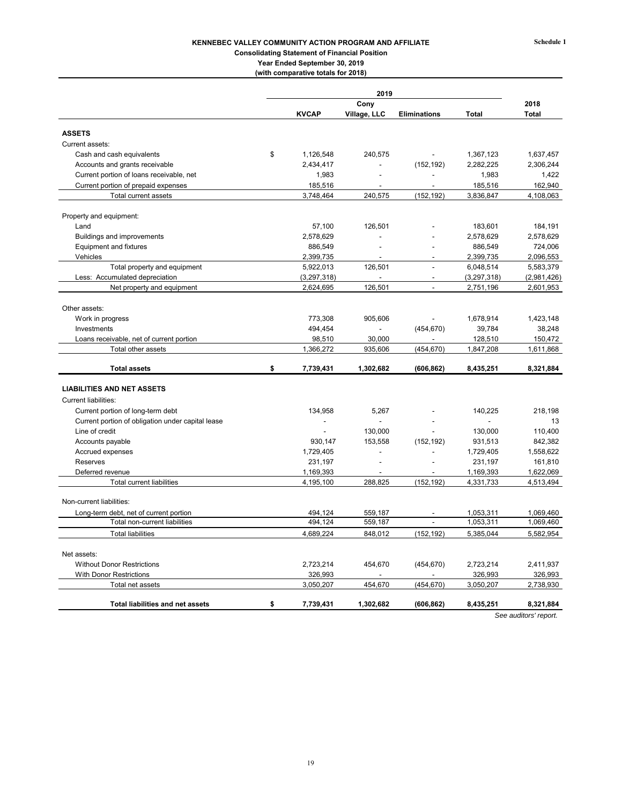#### **KENNEBEC VALLEY COMMUNITY ACTION PROGRAM AND AFFILIATE**

**(with comparative totals for 2018)**

|                                                   | 2019            |                          |                     |               |                      |  |
|---------------------------------------------------|-----------------|--------------------------|---------------------|---------------|----------------------|--|
|                                                   | <b>KVCAP</b>    | Cony<br>Village, LLC     | <b>Eliminations</b> | <b>Total</b>  | 2018<br><b>Total</b> |  |
| <b>ASSETS</b>                                     |                 |                          |                     |               |                      |  |
| Current assets:                                   |                 |                          |                     |               |                      |  |
| Cash and cash equivalents                         | \$<br>1,126,548 | 240,575                  |                     | 1,367,123     | 1,637,457            |  |
| Accounts and grants receivable                    | 2,434,417       |                          | (152, 192)          | 2,282,225     | 2,306,244            |  |
| Current portion of loans receivable, net          | 1,983           |                          | $\frac{1}{2}$       | 1,983         | 1,422                |  |
| Current portion of prepaid expenses               | 185,516         |                          |                     | 185,516       | 162,940              |  |
| Total current assets                              | 3,748,464       | 240,575                  | (152, 192)          | 3,836,847     | 4,108,063            |  |
|                                                   |                 |                          |                     |               |                      |  |
| Property and equipment:                           |                 |                          |                     |               |                      |  |
| Land                                              | 57,100          | 126,501                  |                     | 183,601       | 184,191              |  |
| Buildings and improvements                        | 2,578,629       | $\overline{a}$           |                     | 2,578,629     | 2,578,629            |  |
| <b>Equipment and fixtures</b>                     | 886,549         |                          |                     | 886,549       | 724,006              |  |
| Vehicles                                          | 2,399,735       |                          |                     | 2,399,735     | 2,096,553            |  |
| Total property and equipment                      | 5,922,013       | 126,501                  |                     | 6,048,514     | 5,583,379            |  |
| Less: Accumulated depreciation                    | (3, 297, 318)   |                          |                     | (3, 297, 318) | (2,981,426)          |  |
| Net property and equipment                        | 2,624,695       | 126,501                  | $\overline{a}$      | 2,751,196     | 2,601,953            |  |
|                                                   |                 |                          |                     |               |                      |  |
| Other assets:                                     |                 |                          |                     |               |                      |  |
| Work in progress                                  | 773,308         | 905,606                  |                     | 1,678,914     | 1,423,148            |  |
| Investments                                       | 494,454         | $\overline{\phantom{a}}$ | (454, 670)          | 39,784        | 38,248               |  |
| Loans receivable, net of current portion          | 98,510          | 30,000                   |                     | 128,510       | 150,472              |  |
| Total other assets                                | 1,366,272       | 935,606                  | (454, 670)          | 1,847,208     | 1,611,868            |  |
| <b>Total assets</b>                               | \$<br>7,739,431 | 1,302,682                | (606, 862)          | 8,435,251     | 8,321,884            |  |
|                                                   |                 |                          |                     |               |                      |  |
| <b>LIABILITIES AND NET ASSETS</b>                 |                 |                          |                     |               |                      |  |
| <b>Current liabilities:</b>                       |                 |                          |                     |               |                      |  |
| Current portion of long-term debt                 | 134,958         | 5,267                    |                     | 140,225       | 218,198              |  |
| Current portion of obligation under capital lease |                 |                          |                     |               | 13                   |  |
| Line of credit                                    |                 | 130,000                  |                     | 130,000       | 110,400              |  |
| Accounts payable                                  | 930,147         | 153,558                  | (152, 192)          | 931,513       | 842,382              |  |
| Accrued expenses                                  | 1,729,405       |                          |                     | 1,729,405     | 1,558,622            |  |
| Reserves                                          | 231,197         | ÷,                       | $\overline{a}$      | 231,197       | 161,810              |  |
| Deferred revenue                                  | 1,169,393       | $\overline{\phantom{a}}$ | $\overline{a}$      | 1,169,393     | 1,622,069            |  |
| <b>Total current liabilities</b>                  | 4,195,100       | 288,825                  | (152, 192)          | 4,331,733     | 4,513,494            |  |
| Non-current liabilities:                          |                 |                          |                     |               |                      |  |
| Long-term debt, net of current portion            | 494,124         | 559,187                  |                     | 1,053,311     | 1,069,460            |  |
| Total non-current liabilities                     | 494,124         | 559,187                  | $\overline{a}$      | 1,053,311     | 1,069,460            |  |
| <b>Total liabilities</b>                          | 4,689,224       | 848,012                  | (152, 192)          | 5,385,044     | 5,582,954            |  |
|                                                   |                 |                          |                     |               |                      |  |
| Net assets:                                       |                 |                          |                     |               |                      |  |
| <b>Without Donor Restrictions</b>                 | 2,723,214       | 454,670                  | (454, 670)          | 2,723,214     | 2,411,937            |  |
| <b>With Donor Restrictions</b>                    | 326,993         |                          |                     | 326,993       | 326,993              |  |
| Total net assets                                  | 3,050,207       | 454,670                  | (454, 670)          | 3,050,207     | 2,738,930            |  |
| <b>Total liabilities and net assets</b>           | \$<br>7,739,431 | 1,302,682                | (606, 862)          | 8,435,251     | 8,321,884            |  |

*See auditors' report.*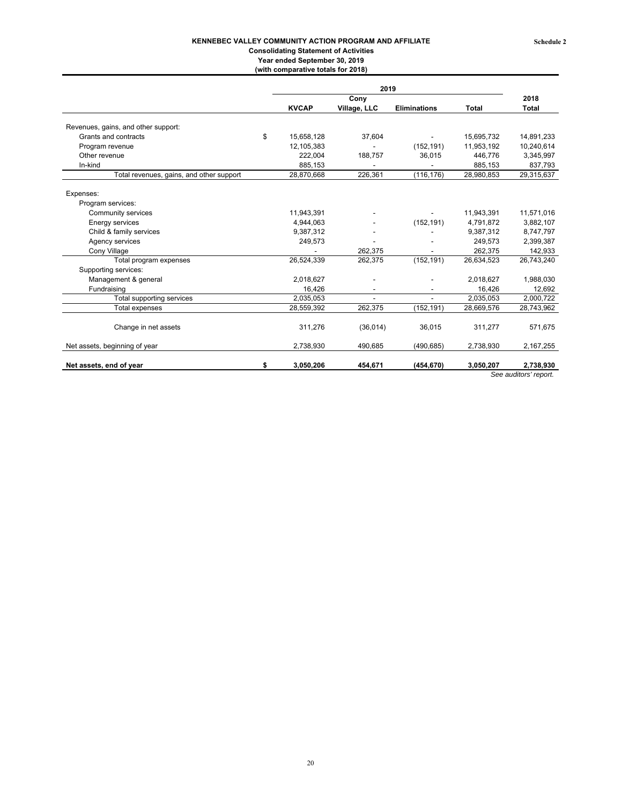#### **Year ended September 30, 2019 Consolidating Statement of Activities KENNEBEC VALLEY COMMUNITY ACTION PROGRAM AND AFFILIATE (with comparative totals for 2018)**

|                                          |                  | Conv           |                     |              | 2018                  |
|------------------------------------------|------------------|----------------|---------------------|--------------|-----------------------|
|                                          | <b>KVCAP</b>     | Village, LLC   | <b>Eliminations</b> | <b>Total</b> | <b>Total</b>          |
| Revenues, gains, and other support:      |                  |                |                     |              |                       |
| Grants and contracts                     | \$<br>15,658,128 | 37,604         |                     | 15,695,732   | 14,891,233            |
| Program revenue                          | 12,105,383       | $\blacksquare$ | (152, 191)          | 11,953,192   | 10,240,614            |
| Other revenue                            | 222,004          | 188,757        | 36,015              | 446.776      | 3,345,997             |
| In-kind                                  | 885.153          |                |                     | 885.153      | 837,793               |
| Total revenues, gains, and other support | 28,870,668       | 226,361        | (116, 176)          | 28,980,853   | 29,315,637            |
| Expenses:                                |                  |                |                     |              |                       |
| Program services:                        |                  |                |                     |              |                       |
| Community services                       | 11,943,391       |                |                     | 11,943,391   | 11,571,016            |
| Energy services                          | 4,944,063        |                | (152, 191)          | 4,791,872    | 3,882,107             |
| Child & family services                  | 9,387,312        |                |                     | 9,387,312    | 8,747,797             |
| Agency services                          | 249,573          |                |                     | 249.573      | 2,399,387             |
| Cony Village                             |                  | 262,375        |                     | 262,375      | 142,933               |
| Total program expenses                   | 26,524,339       | 262,375        | (152, 191)          | 26,634,523   | 26,743,240            |
| Supporting services:                     |                  |                |                     |              |                       |
| Management & general                     | 2,018,627        |                |                     | 2,018,627    | 1,988,030             |
| Fundraising                              | 16.426           |                |                     | 16,426       | 12,692                |
| Total supporting services                | 2,035,053        |                |                     | 2,035,053    | 2,000,722             |
| Total expenses                           | 28,559,392       | 262,375        | (152, 191)          | 28,669,576   | 28,743,962            |
| Change in net assets                     | 311,276          | (36, 014)      | 36,015              | 311,277      | 571,675               |
| Net assets, beginning of year            | 2,738,930        | 490,685        | (490, 685)          | 2,738,930    | 2,167,255             |
| Net assets, end of year                  | \$<br>3,050,206  | 454,671        | (454, 670)          | 3,050,207    | 2,738,930             |
|                                          |                  |                |                     |              | See auditors' report. |

**Schedule 2**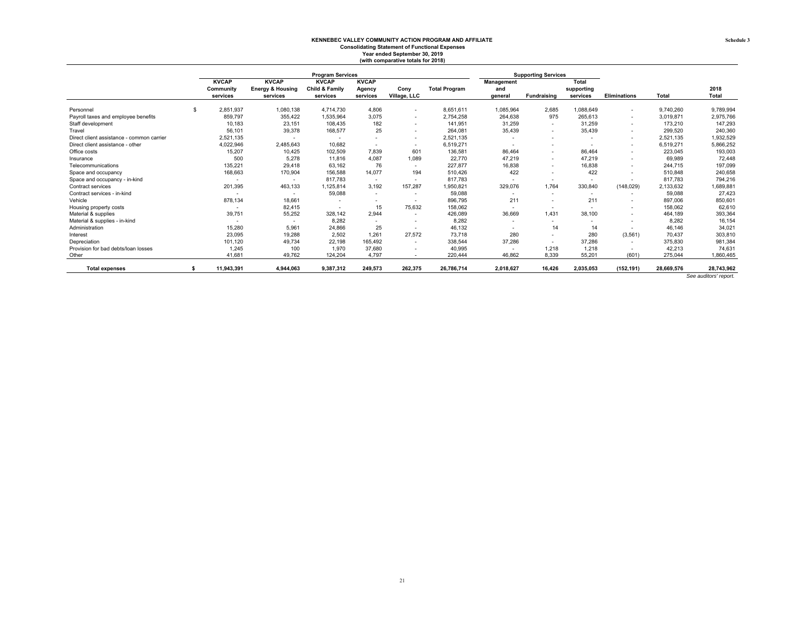#### **Year ended September 30, 2019 Consolidating Statement of Functional Expenses KENNEBEC VALLEY COMMUNITY ACTION PROGRAM AND AFFILIATE (with comparative totals for 2018)**

|                                           | <b>Program Services</b>  |                             |                           |                          |              |                      | <b>Supporting Services</b> |                          |                          |                          |              |                       |
|-------------------------------------------|--------------------------|-----------------------------|---------------------------|--------------------------|--------------|----------------------|----------------------------|--------------------------|--------------------------|--------------------------|--------------|-----------------------|
|                                           | <b>KVCAP</b>             | <b>KVCAP</b>                | <b>KVCAP</b>              | <b>KVCAP</b>             |              |                      | Management                 |                          | Total                    |                          |              |                       |
|                                           | Community                | <b>Energy &amp; Housing</b> | <b>Child &amp; Family</b> | Agency                   | Cony         | <b>Total Program</b> | and                        |                          | supporting               |                          |              | 2018                  |
|                                           | services                 | services                    | services                  | services                 | Village, LLC |                      | general                    | <b>Fundraising</b>       | services                 | <b>Eliminations</b>      | <b>Total</b> | <b>Total</b>          |
| Personnel                                 | \$<br>2.851.937          | 1.080.138                   | 4.714.730                 | 4.806                    | $\sim$       | 8,651,611            | 1,085,964                  | 2,685                    | 1,088,649                | $\overline{\phantom{a}}$ | 9.740.260    | 9,789,994             |
| Payroll taxes and employee benefits       | 859.797                  | 355.422                     | 1,535,964                 | 3.075                    | $\sim$       | 2.754.258            | 264,638                    | 975                      | 265,613                  | $\sim$                   | 3,019,871    | 2,975,766             |
| Staff development                         | 10,183                   | 23,151                      | 108.435                   | 182                      | $\sim$       | 141,951              | 31,259                     | $\sim$                   | 31,259                   | $\overline{\phantom{a}}$ | 173.210      | 147,293               |
| Travel                                    | 56.101                   | 39,378                      | 168,577                   | 25                       |              | 264.081              | 35.439                     | $\overline{\phantom{a}}$ | 35.439                   | $\overline{\phantom{a}}$ | 299.520      | 240,360               |
| Direct client assistance - common carrier | 2.521.135                | $\sim$                      | $\overline{\phantom{0}}$  | $\overline{\phantom{a}}$ |              | 2,521,135            |                            | $\overline{\phantom{0}}$ | $\overline{\phantom{a}}$ | $\overline{\phantom{0}}$ | 2.521.135    | 1,932,529             |
| Direct client assistance - other          | 4,022,946                | 2,485,643                   | 10,682                    | $\overline{\phantom{a}}$ | ۰.           | 6,519,271            |                            | $\overline{\phantom{a}}$ |                          |                          | 6,519,271    | 5,866,252             |
| Office costs                              | 15,207                   | 10,425                      | 102,509                   | 7,839                    | 601          | 136,581              | 86,464                     | $\overline{\phantom{a}}$ | 86,464                   | $\overline{\phantom{0}}$ | 223,045      | 193,003               |
| Insurance                                 | 500                      | 5.278                       | 11,816                    | 4,087                    | 1.089        | 22,770               | 47,219                     | ٠                        | 47,219                   | $\sim$                   | 69.989       | 72,448                |
| Telecommunications                        | 135.221                  | 29.418                      | 63.162                    | 76                       | $\sim$       | 227.877              | 16.838                     | ٠                        | 16,838                   |                          | 244.715      | 197,099               |
| Space and occupancy                       | 168,663                  | 170,904                     | 156,588                   | 14,077                   | 194          | 510.426              | 422                        | ٠                        | 422                      |                          | 510.848      | 240,658               |
| Space and occupancy - in-kind             | $\overline{\phantom{a}}$ | $\overline{\phantom{a}}$    | 817.783                   | $\overline{\phantom{a}}$ |              | 817.783              |                            | $\overline{\phantom{a}}$ | $\overline{\phantom{a}}$ | $\overline{\phantom{a}}$ | 817.783      | 794,216               |
| Contract services                         | 201,395                  | 463,133                     | 1,125,814                 | 3.192                    | 157,287      | 1,950,821            | 329,076                    | 1,764                    | 330,840                  | (148, 029)               | 2,133,632    | 1,689,881             |
| Contract services - in-kind               | $\overline{\phantom{a}}$ | $\overline{\phantom{a}}$    | 59,088                    | $\overline{\phantom{a}}$ |              | 59,088               |                            | $\overline{\phantom{a}}$ | $\overline{\phantom{a}}$ | $\overline{\phantom{0}}$ | 59,088       | 27,423                |
| Vehicle                                   | 878,134                  | 18.661                      | $\overline{\phantom{a}}$  | $\overline{\phantom{a}}$ |              | 896,795              | 211                        | $\overline{\phantom{a}}$ | 211                      |                          | 897,006      | 850,601               |
| Housing property costs                    | $\overline{\phantom{0}}$ | 82.415                      | $\overline{\phantom{a}}$  | 15                       | 75,632       | 158,062              |                            | $\overline{\phantom{a}}$ | $\overline{\phantom{0}}$ | $\overline{\phantom{0}}$ | 158,062      | 62,610                |
| Material & supplies                       | 39,751                   | 55,252                      | 328,142                   | 2,944                    |              | 426,089              | 36,669                     | 1,431                    | 38,100                   |                          | 464,189      | 393,364               |
| Material & supplies - in-kind             | $\overline{\phantom{a}}$ | $\overline{\phantom{a}}$    | 8,282                     | $\overline{\phantom{a}}$ |              | 8.282                |                            | $\overline{\phantom{a}}$ | $\overline{\phantom{a}}$ | $\overline{\phantom{0}}$ | 8.282        | 16,154                |
| Administration                            | 15,280                   | 5,961                       | 24,866                    | 25                       |              | 46,132               |                            | 14                       | 14                       | $\overline{\phantom{a}}$ | 46.146       | 34,021                |
| Interest                                  | 23,095                   | 19.288                      | 2,502                     | 1.261                    | 27,572       | 73,718               | 280                        | $\overline{\phantom{a}}$ | 280                      | (3, 561)                 | 70.437       | 303,810               |
| Depreciation                              | 101,120                  | 49.734                      | 22,198                    | 165.492                  |              | 338,544              | 37,286                     | $\overline{\phantom{a}}$ | 37,286                   | $\sim$                   | 375,830      | 981,384               |
| Provision for bad debts/loan losses       | 1,245                    | 100                         | 1,970                     | 37,680                   |              | 40,995               |                            | 1,218                    | 1,218                    |                          | 42,213       | 74,631                |
| Other                                     | 41.681                   | 49.762                      | 124.204                   | 4,797                    |              | 220,444              | 46,862                     | 8,339                    | 55,201                   | (601)                    | 275,044      | 1,860,465             |
| <b>Total expenses</b>                     | 11,943,391               | 4,944,063                   | 9,387,312                 | 249.573                  | 262,375      | 26,786,714           | 2,018,627                  | 16.426                   | 2.035.053                | (152, 191)               | 28,669,576   | 28,743,962            |
|                                           |                          |                             |                           |                          |              |                      |                            |                          |                          |                          |              | See auditors' report. |